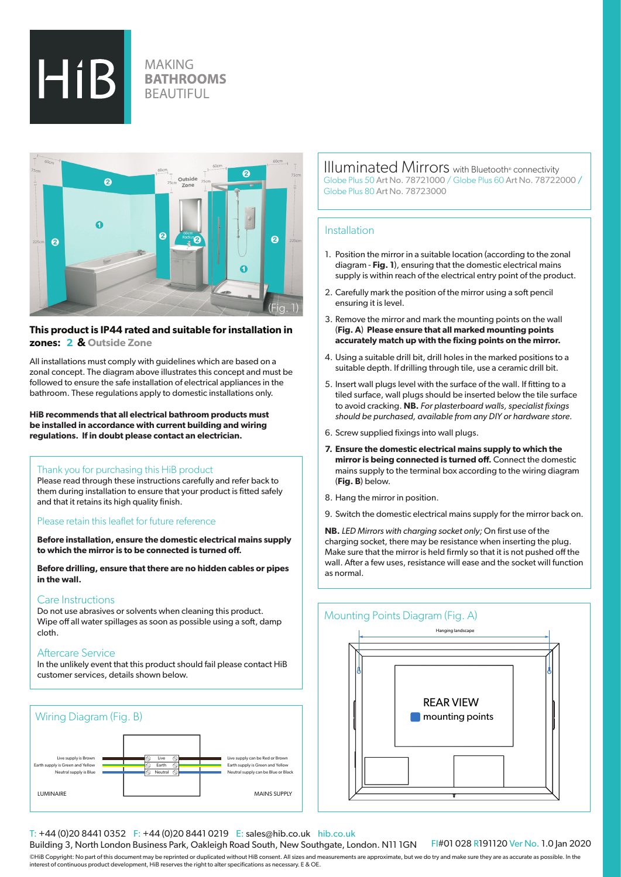

# **MAKING BATHROOMS BEAUTIFUL**



# **This product is IP44 rated and suitable for installation in zones: 2 & Outside Zone**

All installations must comply with guidelines which are based on a zonal concept. The diagram above illustrates this concept and must be followed to ensure the safe installation of electrical appliances in the bathroom. These regulations apply to domestic installations only.

**HiB recommends that all electrical bathroom products must be installed in accordance with current building and wiring regulations. If in doubt please contact an electrician.**

#### Thank you for purchasing this HiB product

Please read through these instructions carefully and refer back to them during installation to ensure that your product is fitted safely and that it retains its high quality finish.

#### Please retain this leaflet for future reference

**Before installation, ensure the domestic electrical mains supply to which the mirror is to be connected is turned off.** 

**Before drilling, ensure that there are no hidden cables or pipes in the wall.**

## Care Instructions

Do not use abrasives or solvents when cleaning this product. Wipe off all water spillages as soon as possible using a soft, damp cloth.

## Aftercare Service

In the unlikely event that this product should fail please contact HiB customer services, details shown below.



Illuminated Mirrors with Bluetooth® connectivity Globe Plus 50 Art No. 78721000 / Globe Plus 60 Art No. 78722000 / Globe Plus 80 Art No. 78723000

#### **Installation**

- 1. Position the mirror in a suitable location (according to the zonal diagram - **Fig. 1**), ensuring that the domestic electrical mains supply is within reach of the electrical entry point of the product.
- 2. Carefully mark the position of the mirror using a soft pencil ensuring it is level.
- 3. Remove the mirror and mark the mounting points on the wall (**Fig. A**) **Please ensure that all marked mounting points accurately match up with the fixing points on the mirror.**
- 4. Using a suitable drill bit, drill holes in the marked positions to a suitable depth. If drilling through tile, use a ceramic drill bit.
- 5. Insert wall plugs level with the surface of the wall. If fitting to a tiled surface, wall plugs should be inserted below the tile surface to avoid cracking. **NB.** *For plasterboard walls, specialist fixings should be purchased, available from any DIY or hardware store.*
- 6. Screw supplied fixings into wall plugs.
- **7. Ensure the domestic electrical mains supply to which the mirror is being connected is turned off.** Connect the domestic mains supply to the terminal box according to the wiring diagram (**Fig. B**) below.
- 8. Hang the mirror in position.
- 9. Switch the domestic electrical mains supply for the mirror back on.

**NB.** *LED Mirrors with charging socket only;* On first use of the charging socket, there may be resistance when inserting the plug. Make sure that the mirror is held firmly so that it is not pushed off the wall. After a few uses, resistance will ease and the socket will function as normal.

## Mounting Points Diagram (Fig. A)



#### T: +44 (0)20 8441 0352 F: +44 (0)20 8441 0219 E: sales@hib.co.uk hib.co.uk

Building 3, North London Business Park, Oakleigh Road South, New Southgate, London. N11 1GN

FI#01 028 R191120 Ver No. 1.0 Jan 2020

©HiB Copyright: No part of this document may be reprinted or duplicated without HiB consent. All sizes and measurements are approximate, but we do try and make sure they are as accurate as possible. In the interest of continuous product development, HiB reserves the right to alter specifications as necessary. E & OE.